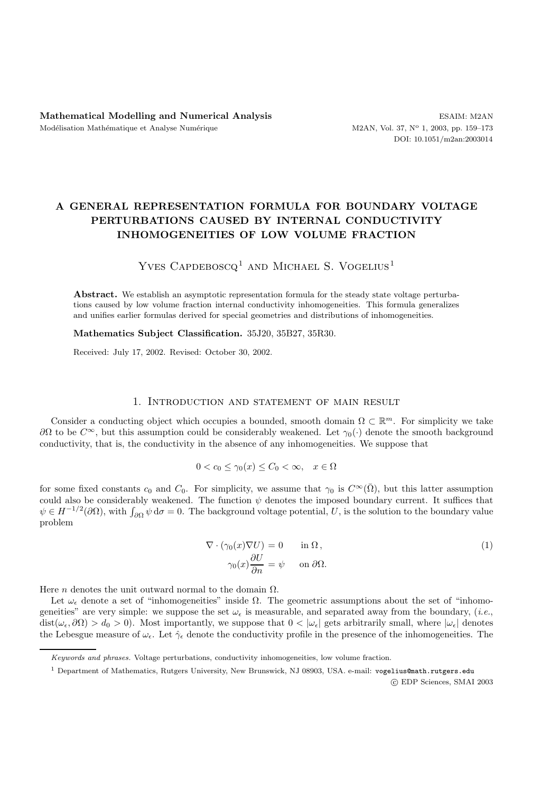# **A GENERAL REPRESENTATION FORMULA FOR BOUNDARY VOLTAGE PERTURBATIONS CAUSED BY INTERNAL CONDUCTIVITY INHOMOGENEITIES OF LOW VOLUME FRACTION**

# YVES CAPDEBOSCQ<sup>1</sup> AND MICHAEL S. VOGELIUS<sup>1</sup>

**Abstract.** We establish an asymptotic representation formula for the steady state voltage perturbations caused by low volume fraction internal conductivity inhomogeneities. This formula generalizes and unifies earlier formulas derived for special geometries and distributions of inhomogeneities.

**Mathematics Subject Classification.** 35J20, 35B27, 35R30.

Received: July 17, 2002. Revised: October 30, 2002.

## 1. Introduction and statement of main result

Consider a conducting object which occupies a bounded, smooth domain  $\Omega \subset \mathbb{R}^m$ . For simplicity we take  $∂Ω$  to be  $C^∞$ , but this assumption could be considerably weakened. Let  $γ_0(·)$  denote the smooth background conductivity, that is, the conductivity in the absence of any inhomogeneities. We suppose that

$$
0 < c_0 \le \gamma_0(x) \le C_0 < \infty, \quad x \in \Omega
$$

for some fixed constants  $c_0$  and  $C_0$ . For simplicity, we assume that  $\gamma_0$  is  $C^{\infty}(\overline{\Omega})$ , but this latter assumption could also be considerably weakened. The function  $\psi$  denotes the imposed boundary current. It suffices that  $\psi \in H^{-1/2}(\partial\Omega)$ , with  $\int_{\partial\Omega}\psi \,d\sigma = 0$ . The background voltage potential, U, is the solution to the boundary value problem

$$
\nabla \cdot (\gamma_0(x)\nabla U) = 0 \quad \text{in } \Omega, \n\gamma_0(x)\frac{\partial U}{\partial n} = \psi \quad \text{on } \partial\Omega.
$$
\n(1)

Here *n* denotes the unit outward normal to the domain  $\Omega$ .

Let  $\omega_{\epsilon}$  denote a set of "inhomogeneities" inside  $\Omega$ . The geometric assumptions about the set of "inhomogeneities" are very simple: we suppose the set  $\omega_{\epsilon}$  is measurable, and separated away from the boundary, (*i.e.*,  $dist(\omega_{\epsilon}, \partial \Omega) > d_0 > 0$ . Most importantly, we suppose that  $0 < |\omega_{\epsilon}|$  gets arbitrarily small, where  $|\omega_{\epsilon}|$  denotes the Lebesgue measure of  $\omega_{\epsilon}$ . Let  $\hat{\gamma}_{\epsilon}$  denote the conductivity profile in the presence of the inhomogeneities. The

c EDP Sciences, SMAI 2003

Keywords and phrases. Voltage perturbations, conductivity inhomogeneities, low volume fraction.

<sup>&</sup>lt;sup>1</sup> Department of Mathematics, Rutgers University, New Brunswick, NJ 08903, USA. e-mail: vogelius@math.rutgers.edu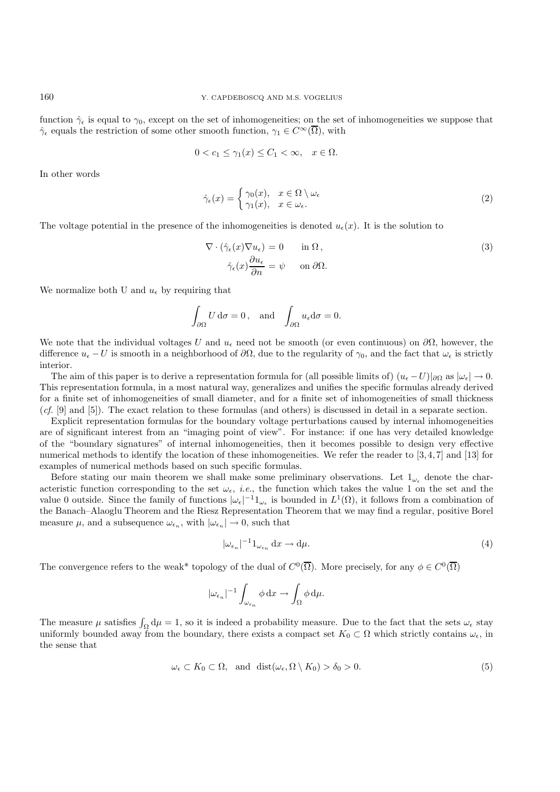function  $\hat{\gamma}_{\epsilon}$  is equal to  $\gamma_0$ , except on the set of inhomogeneities; on the set of inhomogeneities we suppose that  $\hat{\gamma}_{\epsilon}$  equals the restriction of some other smooth function,  $\gamma_1 \in C^{\infty}(\overline{\Omega})$ , with

$$
0 < c_1 \le \gamma_1(x) \le C_1 < \infty, \quad x \in \Omega.
$$

In other words

$$
\hat{\gamma}_{\epsilon}(x) = \begin{cases} \gamma_0(x), & x \in \Omega \setminus \omega_{\epsilon} \\ \gamma_1(x), & x \in \omega_{\epsilon}. \end{cases}
$$
 (2)

The voltage potential in the presence of the inhomogeneities is denoted  $u_{\epsilon}(x)$ . It is the solution to

$$
\nabla \cdot (\hat{\gamma}_{\epsilon}(x)\nabla u_{\epsilon}) = 0 \quad \text{in } \Omega, \n\hat{\gamma}_{\epsilon}(x)\frac{\partial u_{\epsilon}}{\partial n} = \psi \quad \text{on } \partial \Omega.
$$
\n(3)

We normalize both U and  $u_{\epsilon}$  by requiring that

$$
\int_{\partial\Omega} U \, \mathrm{d}\sigma = 0, \text{ and } \int_{\partial\Omega} u_{\epsilon} \mathrm{d}\sigma = 0.
$$

We note that the individual voltages U and  $u_{\epsilon}$  need not be smooth (or even continuous) on  $\partial\Omega$ , however, the difference  $u_{\epsilon} - U$  is smooth in a neighborhood of  $\partial\Omega$ , due to the regularity of  $\gamma_0$ , and the fact that  $\omega_{\epsilon}$  is strictly interior.

The aim of this paper is to derive a representation formula for (all possible limits of)  $(u_{\epsilon}-U)|_{\partial\Omega}$  as  $|\omega_{\epsilon}| \to 0$ . This representation formula, in a most natural way, generalizes and unifies the specific formulas already derived for a finite set of inhomogeneities of small diameter, and for a finite set of inhomogeneities of small thickness (*cf.* [9] and [5]). The exact relation to these formulas (and others) is discussed in detail in a separate section.

Explicit representation formulas for the boundary voltage perturbations caused by internal inhomogeneities are of significant interest from an "imaging point of view". For instance: if one has very detailed knowledge of the "boundary signatures" of internal inhomogeneities, then it becomes possible to design very effective numerical methods to identify the location of these inhomogeneities. We refer the reader to [3, 4, 7] and [13] for examples of numerical methods based on such specific formulas.

Before stating our main theorem we shall make some preliminary observations. Let  $1_{\omega_{\epsilon}}$  denote the characteristic function corresponding to the set  $\omega_{\epsilon}$ , *i.e.*, the function which takes the value 1 on the set and the value 0 outside. Since the family of functions  $|\omega_{\epsilon}|^{-1}1_{\omega_{\epsilon}}$  is bounded in  $L^{1}(\Omega)$ , it follows from a combination of the Banach–Alaoglu Theorem and the Riesz Representation Theorem that we may find a regular, positive Borel measure  $\mu$ , and a subsequence  $\omega_{\epsilon_n}$ , with  $|\omega_{\epsilon_n}| \to 0$ , such that

$$
|\omega_{\epsilon_n}|^{-1}1_{\omega_{\epsilon_n}}\,\mathrm{d}x \to \mathrm{d}\mu. \tag{4}
$$

The convergence refers to the weak\* topology of the dual of  $C^0(\overline{\Omega})$ . More precisely, for any  $\phi \in C^0(\overline{\Omega})$ 

$$
|\omega_{\epsilon_n}|^{-1} \int_{\omega_{\epsilon_n}} \phi \, dx \to \int_{\Omega} \phi \, d\mu.
$$

The measure  $\mu$  satisfies  $\int_{\Omega} d\mu = 1$ , so it is indeed a probability measure. Due to the fact that the sets  $\omega_{\epsilon}$  stay uniformly bounded away from the boundary, there exists a compact set  $K_0 \subset \Omega$  which strictly contains  $\omega_{\epsilon}$ , in the sense that

$$
\omega_{\epsilon} \subset K_0 \subset \Omega, \text{ and } \text{dist}(\omega_{\epsilon}, \Omega \setminus K_0) > \delta_0 > 0. \tag{5}
$$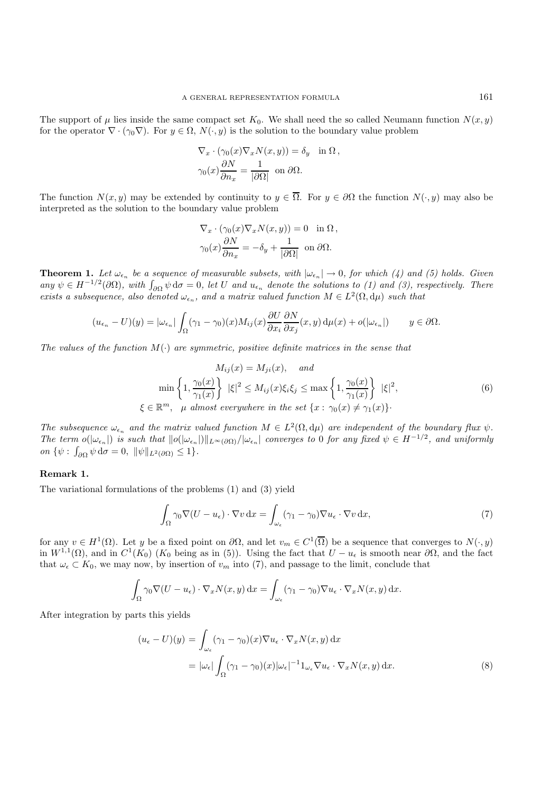The support of  $\mu$  lies inside the same compact set  $K_0$ . We shall need the so called Neumann function  $N(x, y)$ for the operator  $\nabla \cdot (\gamma_0 \nabla)$ . For  $y \in \Omega$ ,  $N(\cdot, y)$  is the solution to the boundary value problem

$$
\nabla_x \cdot (\gamma_0(x)\nabla_x N(x,y)) = \delta_y \quad \text{in } \Omega,
$$
  

$$
\gamma_0(x)\frac{\partial N}{\partial n_x} = \frac{1}{|\partial \Omega|} \text{ on } \partial \Omega.
$$

The function  $N(x, y)$  may be extended by continuity to  $y \in \overline{\Omega}$ . For  $y \in \partial\Omega$  the function  $N(\cdot, y)$  may also be interpreted as the solution to the boundary value problem

$$
\nabla_x \cdot (\gamma_0(x)\nabla_x N(x, y)) = 0 \text{ in } \Omega,
$$
  

$$
\gamma_0(x)\frac{\partial N}{\partial n_x} = -\delta_y + \frac{1}{|\partial\Omega|} \text{ on } \partial\Omega.
$$

**Theorem 1.** Let  $\omega_{\epsilon_n}$  be a sequence of measurable subsets, with  $|\omega_{\epsilon_n}| \to 0$ , for which (4) and (5) holds. Given  $any \psi \in H^{-1/2}(\partial \Omega)$ , with  $\int_{\partial \Omega} \psi \, d\sigma = 0$ , let U and  $u_{\epsilon_n}$  denote the solutions to (1) and (3), respectively. There *exists a subsequence, also denoted*  $\omega_{\epsilon_n}$ , and a matrix valued function  $M \in L^2(\Omega, d\mu)$  such that

$$
(u_{\epsilon_n}-U)(y)=|\omega_{\epsilon_n}|\int_{\Omega}(\gamma_1-\gamma_0)(x)M_{ij}(x)\frac{\partial U}{\partial x_i}\frac{\partial N}{\partial x_j}(x,y)\,\mathrm{d}\mu(x)+o(|\omega_{\epsilon_n}|)\qquad y\in\partial\Omega.
$$

The values of the function  $M(\cdot)$  are symmetric, positive definite matrices in the sense that

$$
M_{ij}(x) = M_{ji}(x), \quad and
$$
  
\n
$$
\min\left\{1, \frac{\gamma_0(x)}{\gamma_1(x)}\right\} |\xi|^2 \le M_{ij}(x)\xi_i\xi_j \le \max\left\{1, \frac{\gamma_0(x)}{\gamma_1(x)}\right\} |\xi|^2,
$$
  
\n
$$
\xi \in \mathbb{R}^m, \quad \mu \text{ almost everywhere in the set } \{x : \gamma_0(x) \ne \gamma_1(x)\}.
$$
\n(6)

The subsequence  $\omega_{\epsilon_n}$  and the matrix valued function  $M \in L^2(\Omega, d\mu)$  are independent of the boundary flux  $\psi$ . *The term*  $o(|\omega_{\epsilon_n}|)$  *is such that*  $||o(|\omega_{\epsilon_n}|)||_{L^{\infty}(\partial\Omega)}/|\omega_{\epsilon_n}|$  converges to 0 for any fixed  $\psi \in H^{-1/2}$ , and uniformly  $\partial \Omega$  { $\psi$  :  $\int_{\partial \Omega} \psi \, d\sigma = 0$ ,  $\|\psi\|_{L^2(\partial \Omega)} \leq 1$ }.

#### **Remark 1.**

The variational formulations of the problems (1) and (3) yield

$$
\int_{\Omega} \gamma_0 \nabla (U - u_{\epsilon}) \cdot \nabla v \, dx = \int_{\omega_{\epsilon}} (\gamma_1 - \gamma_0) \nabla u_{\epsilon} \cdot \nabla v \, dx,\tag{7}
$$

for any  $v \in H^1(\Omega)$ . Let y be a fixed point on  $\partial\Omega$ , and let  $v_m \in C^1(\overline{\Omega})$  be a sequence that converges to  $N(\cdot, y)$ in  $W^{1,1}(\Omega)$ , and in  $C^1(K_0)$  (K<sub>0</sub> being as in (5)). Using the fact that  $U - u_\epsilon$  is smooth near  $\partial\Omega$ , and the fact that  $\omega_{\epsilon} \subset K_0$ , we may now, by insertion of  $v_m$  into (7), and passage to the limit, conclude that

$$
\int_{\Omega} \gamma_0 \nabla (U - u_{\epsilon}) \cdot \nabla_x N(x, y) \, dx = \int_{\omega_{\epsilon}} (\gamma_1 - \gamma_0) \nabla u_{\epsilon} \cdot \nabla_x N(x, y) \, dx.
$$

After integration by parts this yields

$$
(u_{\epsilon} - U)(y) = \int_{\omega_{\epsilon}} (\gamma_1 - \gamma_0)(x) \nabla u_{\epsilon} \cdot \nabla_x N(x, y) dx
$$
  

$$
= |\omega_{\epsilon}| \int_{\Omega} (\gamma_1 - \gamma_0)(x) |\omega_{\epsilon}|^{-1} \mathbf{1}_{\omega_{\epsilon}} \nabla u_{\epsilon} \cdot \nabla_x N(x, y) dx.
$$
 (8)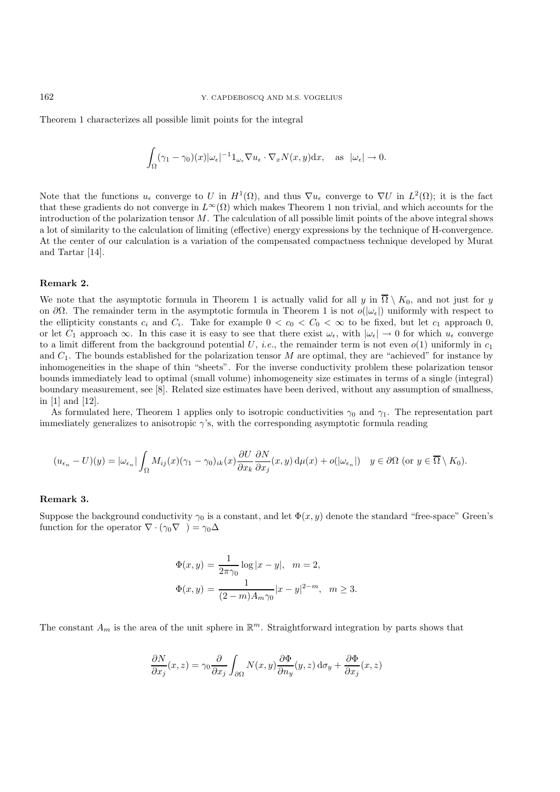Theorem 1 characterizes all possible limit points for the integral

$$
\int_{\Omega} (\gamma_1 - \gamma_0)(x) |\omega_{\epsilon}|^{-1} \mathbb{1}_{\omega_{\epsilon}} \nabla u_{\epsilon} \cdot \nabla_x N(x, y) \, dx, \quad \text{as } |\omega_{\epsilon}| \to 0.
$$

Note that the functions  $u_{\epsilon}$  converge to U in  $H^1(\Omega)$ , and thus  $\nabla u_{\epsilon}$  converge to  $\nabla U$  in  $L^2(\Omega)$ ; it is the fact that these gradients do not converge in  $L^{\infty}(\Omega)$  which makes Theorem 1 non trivial, and which accounts for the introduction of the polarization tensor  $M$ . The calculation of all possible limit points of the above integral shows a lot of similarity to the calculation of limiting (effective) energy expressions by the technique of H-convergence. At the center of our calculation is a variation of the compensated compactness technique developed by Murat and Tartar [14].

## **Remark 2.**

We note that the asymptotic formula in Theorem 1 is actually valid for all y in  $\overline{\Omega} \setminus K_0$ , and not just for y on  $\partial\Omega$ . The remainder term in the asymptotic formula in Theorem 1 is not  $o(|\omega_{\epsilon}|)$  uniformly with respect to the ellipticity constants  $c_i$  and  $C_i$ . Take for example  $0 < c_0 < C_0 < \infty$  to be fixed, but let  $c_1$  approach 0, or let  $C_1$  approach  $\infty$ . In this case it is easy to see that there exist  $\omega_{\epsilon}$ , with  $|\omega_{\epsilon}| \to 0$  for which  $u_{\epsilon}$  converge to a limit different from the background potential U, *i.e.*, the remainder term is not even  $o(1)$  uniformly in  $c_1$ and  $C_1$ . The bounds established for the polarization tensor M are optimal, they are "achieved" for instance by inhomogeneities in the shape of thin "sheets". For the inverse conductivity problem these polarization tensor bounds immediately lead to optimal (small volume) inhomogeneity size estimates in terms of a single (integral) boundary measurement, see [8]. Related size estimates have been derived, without any assumption of smallness, in [1] and [12].

As formulated here, Theorem 1 applies only to isotropic conductivities  $\gamma_0$  and  $\gamma_1$ . The representation part immediately generalizes to anisotropic  $\gamma$ 's, with the corresponding asymptotic formula reading

$$
(u_{\epsilon_n} - U)(y) = |\omega_{\epsilon_n}| \int_{\Omega} M_{ij}(x) (\gamma_1 - \gamma_0)_{ik}(x) \frac{\partial U}{\partial x_k} \frac{\partial N}{\partial x_j}(x, y) d\mu(x) + o(|\omega_{\epsilon_n}|) \quad y \in \partial \Omega \text{ (or } y \in \overline{\Omega} \setminus K_0).
$$

#### **Remark 3.**

Suppose the background conductivity  $\gamma_0$  is a constant, and let  $\Phi(x, y)$  denote the standard "free-space" Green's function for the operator  $\nabla \cdot (\gamma_0 \nabla) = \gamma_0 \Delta$ 

$$
\Phi(x, y) = \frac{1}{2\pi\gamma_0} \log|x - y|, \quad m = 2,
$$
  

$$
\Phi(x, y) = \frac{1}{(2 - m)A_m\gamma_0}|x - y|^{2 - m}, \quad m \ge 3.
$$

The constant  $A_m$  is the area of the unit sphere in  $\mathbb{R}^m$ . Straightforward integration by parts shows that

$$
\frac{\partial N}{\partial x_j}(x,z)=\gamma_0\frac{\partial}{\partial x_j}\int_{\partial\Omega}N(x,y)\frac{\partial\Phi}{\partial n_y}(y,z)\,\mathrm{d}\sigma_y+\frac{\partial\Phi}{\partial x_j}(x,z)
$$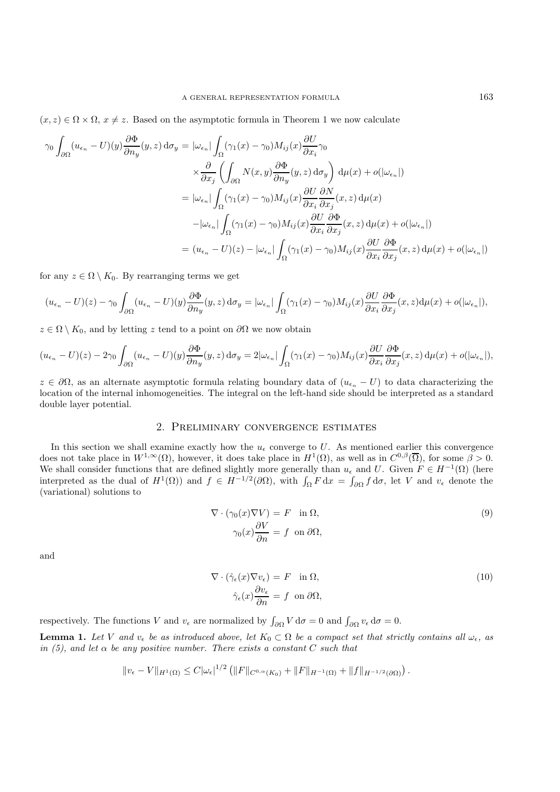$(x, z) \in \Omega \times \Omega$ ,  $x \neq z$ . Based on the asymptotic formula in Theorem 1 we now calculate

$$
\gamma_0 \int_{\partial\Omega} (u_{\epsilon_n} - U)(y) \frac{\partial \Phi}{\partial n_y}(y, z) d\sigma_y = |\omega_{\epsilon_n}| \int_{\Omega} (\gamma_1(x) - \gamma_0) M_{ij}(x) \frac{\partial U}{\partial x_i} \gamma_0
$$
  

$$
\times \frac{\partial}{\partial x_j} \left( \int_{\partial\Omega} N(x, y) \frac{\partial \Phi}{\partial n_y}(y, z) d\sigma_y \right) d\mu(x) + o(|\omega_{\epsilon_n}|)
$$
  

$$
= |\omega_{\epsilon_n}| \int_{\Omega} (\gamma_1(x) - \gamma_0) M_{ij}(x) \frac{\partial U}{\partial x_i} \frac{\partial N}{\partial x_j}(x, z) d\mu(x)
$$
  

$$
- |\omega_{\epsilon_n}| \int_{\Omega} (\gamma_1(x) - \gamma_0) M_{ij}(x) \frac{\partial U}{\partial x_i} \frac{\partial \Phi}{\partial x_j}(x, z) d\mu(x) + o(|\omega_{\epsilon_n}|)
$$
  

$$
= (u_{\epsilon_n} - U)(z) - |\omega_{\epsilon_n}| \int_{\Omega} (\gamma_1(x) - \gamma_0) M_{ij}(x) \frac{\partial U}{\partial x_i} \frac{\partial \Phi}{\partial x_j}(x, z) d\mu(x) + o(|\omega_{\epsilon_n}|)
$$

for any  $z \in \Omega \setminus K_0$ . By rearranging terms we get

$$
(u_{\epsilon_n} - U)(z) - \gamma_0 \int_{\partial\Omega} (u_{\epsilon_n} - U)(y) \frac{\partial \Phi}{\partial n_y}(y, z) d\sigma_y = |\omega_{\epsilon_n}| \int_{\Omega} (\gamma_1(x) - \gamma_0) M_{ij}(x) \frac{\partial U}{\partial x_i} \frac{\partial \Phi}{\partial x_j}(x, z) d\mu(x) + o(|\omega_{\epsilon_n}|),
$$

 $z \in \Omega \setminus K_0$ , and by letting z tend to a point on  $\partial \Omega$  we now obtain

$$
(u_{\epsilon_n}-U)(z)-2\gamma_0\int_{\partial\Omega}(u_{\epsilon_n}-U)(y)\frac{\partial\Phi}{\partial n_y}(y,z)\,\mathrm{d}\sigma_y=2|\omega_{\epsilon_n}|\int_{\Omega}(\gamma_1(x)-\gamma_0)M_{ij}(x)\frac{\partial U}{\partial x_i}\frac{\partial\Phi}{\partial x_j}(x,z)\,\mathrm{d}\mu(x)+o(|\omega_{\epsilon_n}|),
$$

 $z \in \partial\Omega$ , as an alternate asymptotic formula relating boundary data of  $(u_{\epsilon_n} - U)$  to data characterizing the location of the internal inhomogeneities. The integral on the left-hand side should be interpreted as a standard double layer potential.

# 2. Preliminary convergence estimates

In this section we shall examine exactly how the  $u_{\epsilon}$  converge to U. As mentioned earlier this convergence does not take place in  $W^{1,\infty}(\Omega)$ , however, it does take place in  $H^1(\Omega)$ , as well as in  $C^{0,\beta}(\overline{\Omega})$ , for some  $\beta > 0$ . We shall consider functions that are defined slightly more generally than  $u_{\epsilon}$  and U. Given  $F \in H^{-1}(\Omega)$  (here interpreted as the dual of  $H^1(\Omega)$  and  $f \in H^{-1/2}(\partial\Omega)$ , with  $\int_{\Omega} F dx = \int_{\partial\Omega} f d\sigma$ , let V and  $v_{\epsilon}$  denote the (variational) solutions to

$$
\nabla \cdot (\gamma_0(x)\nabla V) = F \quad \text{in } \Omega,
$$
  

$$
\gamma_0(x)\frac{\partial V}{\partial n} = f \quad \text{on } \partial\Omega,
$$
 (9)

and

$$
\nabla \cdot (\hat{\gamma}_{\epsilon}(x)\nabla v_{\epsilon}) = F \quad \text{in } \Omega,
$$
  

$$
\hat{\gamma}_{\epsilon}(x)\frac{\partial v_{\epsilon}}{\partial n} = f \quad \text{on } \partial\Omega,
$$
 (10)

respectively. The functions V and  $v_{\epsilon}$  are normalized by  $\int_{\partial \Omega} V d\sigma = 0$  and  $\int_{\partial \Omega} v_{\epsilon} d\sigma = 0$ .

**Lemma 1.** Let V and  $v_{\epsilon}$  be as introduced above, let  $K_0 \subset \Omega$  be a compact set that strictly contains all  $\omega_{\epsilon}$ , as *in (5), and let*  $\alpha$  *be any positive number. There exists a constant* C *such that* 

$$
||v_{\epsilon} - V||_{H^1(\Omega)} \leq C |\omega_{\epsilon}|^{1/2} \left( ||F||_{C^{0,\alpha}(K_0)} + ||F||_{H^{-1}(\Omega)} + ||f||_{H^{-1/2}(\partial \Omega)} \right).
$$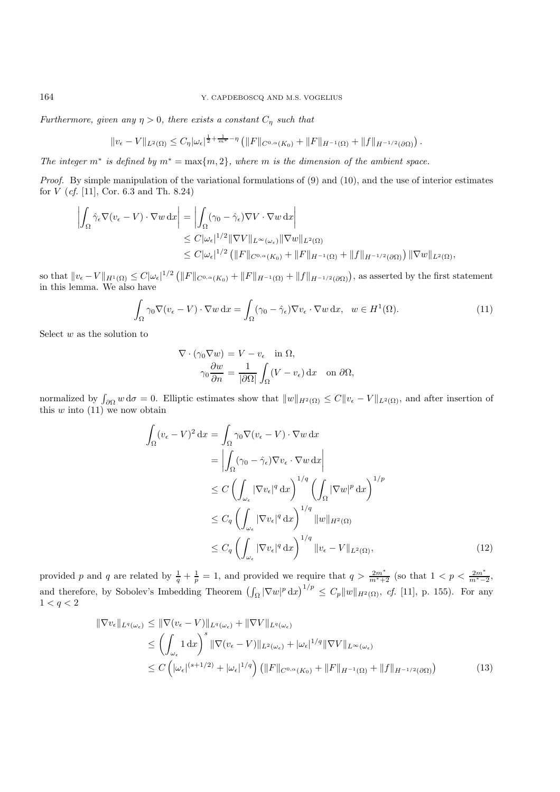*Furthermore, given any*  $\eta > 0$ *, there exists a constant*  $C_{\eta}$  *such that* 

$$
||v_{\epsilon} - V||_{L^{2}(\Omega)} \leq C_{\eta} |\omega_{\epsilon}|^{\frac{1}{2} + \frac{1}{m^{*}} - \eta} \left( ||F||_{C^{0,\alpha}(K_{0})} + ||F||_{H^{-1}(\Omega)} + ||f||_{H^{-1/2}(\partial\Omega)} \right).
$$

*The integer*  $m^*$  *is defined by*  $m^* = \max\{m, 2\}$ *, where* m *is the dimension of the ambient space.* 

*Proof.* By simple manipulation of the variational formulations of (9) and (10), and the use of interior estimates for V (*cf.* [11], Cor. 6.3 and Th. 8.24)

$$
\left| \int_{\Omega} \hat{\gamma}_{\epsilon} \nabla (v_{\epsilon} - V) \cdot \nabla w \, dx \right| = \left| \int_{\Omega} (\gamma_0 - \hat{\gamma}_{\epsilon}) \nabla V \cdot \nabla w \, dx \right|
$$
  
\n
$$
\leq C |\omega_{\epsilon}|^{1/2} ||\nabla V||_{L^{\infty}(\omega_{\epsilon})} ||\nabla w||_{L^{2}(\Omega)}
$$
  
\n
$$
\leq C |\omega_{\epsilon}|^{1/2} (||F||_{C^{0,\alpha}(K_{0})} + ||F||_{H^{-1}(\Omega)} + ||f||_{H^{-1/2}(\partial \Omega)}) ||\nabla w||_{L^{2}(\Omega)},
$$

so that  $||v_{\epsilon} - V||_{H^1(\Omega)} \leq C |\omega_{\epsilon}|^{1/2} (||F||_{C^{0,\alpha}(K_0)} + ||F||_{H^{-1}(\Omega)} + ||f||_{H^{-1/2}(\partial \Omega)})$ , as asserted by the first statement in this lemma. We also have

$$
\int_{\Omega} \gamma_0 \nabla (v_{\epsilon} - V) \cdot \nabla w \, dx = \int_{\Omega} (\gamma_0 - \hat{\gamma}_{\epsilon}) \nabla v_{\epsilon} \cdot \nabla w \, dx, \ \ w \in H^1(\Omega). \tag{11}
$$

Select  $w$  as the solution to

$$
\nabla \cdot (\gamma_0 \nabla w) = V - v_{\epsilon} \quad \text{in } \Omega,
$$

$$
\gamma_0 \frac{\partial w}{\partial n} = \frac{1}{|\partial \Omega|} \int_{\Omega} (V - v_{\epsilon}) \, \mathrm{d}x \quad \text{on } \partial \Omega,
$$

normalized by  $\int_{\partial\Omega} w d\sigma = 0$ . Elliptic estimates show that  $||w||_{H^2(\Omega)} \leq C ||v_{\epsilon} - V||_{L^2(\Omega)}$ , and after insertion of this  $w$  into  $(11)$  we now obtain

$$
\int_{\Omega} (v_{\epsilon} - V)^2 dx = \int_{\Omega} \gamma_0 \nabla (v_{\epsilon} - V) \cdot \nabla w dx \n= \left| \int_{\Omega} (\gamma_0 - \hat{\gamma}_{\epsilon}) \nabla v_{\epsilon} \cdot \nabla w dx \right| \n\leq C \left( \int_{\omega_{\epsilon}} |\nabla v_{\epsilon}|^q dx \right)^{1/q} \left( \int_{\Omega} |\nabla w|^p dx \right)^{1/p} \n\leq C_q \left( \int_{\omega_{\epsilon}} |\nabla v_{\epsilon}|^q dx \right)^{1/q} ||w||_{H^2(\Omega)} \n\leq C_q \left( \int_{\omega_{\epsilon}} |\nabla v_{\epsilon}|^q dx \right)^{1/q} ||v_{\epsilon} - V||_{L^2(\Omega)},
$$
\n(12)

provided p and q are related by  $\frac{1}{q} + \frac{1}{p} = 1$ , and provided we require that  $q > \frac{2m^*}{m^*+2}$  (so that  $1 < p < \frac{2m^*}{m^*-2}$ , and therefore, by Sobolev's Imbedding Theorem  $\left(\int_{\Omega} |\nabla w|^p dx\right)^{1/p} \leq C_p \|w\|_{H^2(\Omega)}$ , cf. [11], p. 155). For any  $1 < q < 2$ 

$$
\|\nabla v_{\epsilon}\|_{L^{q}(\omega_{\epsilon})} \leq \|\nabla (v_{\epsilon} - V)\|_{L^{q}(\omega_{\epsilon})} + \|\nabla V\|_{L^{q}(\omega_{\epsilon})}
$$
  
\n
$$
\leq \left(\int_{\omega_{\epsilon}} 1 \, dx\right)^{s} \|\nabla (v_{\epsilon} - V)\|_{L^{2}(\omega_{\epsilon})} + |\omega_{\epsilon}|^{1/q} \|\nabla V\|_{L^{\infty}(\omega_{\epsilon})}
$$
  
\n
$$
\leq C \left(|\omega_{\epsilon}|^{(s+1/2)} + |\omega_{\epsilon}|^{1/q}\right) \left(\|F\|_{C^{0,\alpha}(K_0)} + \|F\|_{H^{-1}(\Omega)} + \|f\|_{H^{-1/2}(\partial\Omega)}\right) \tag{13}
$$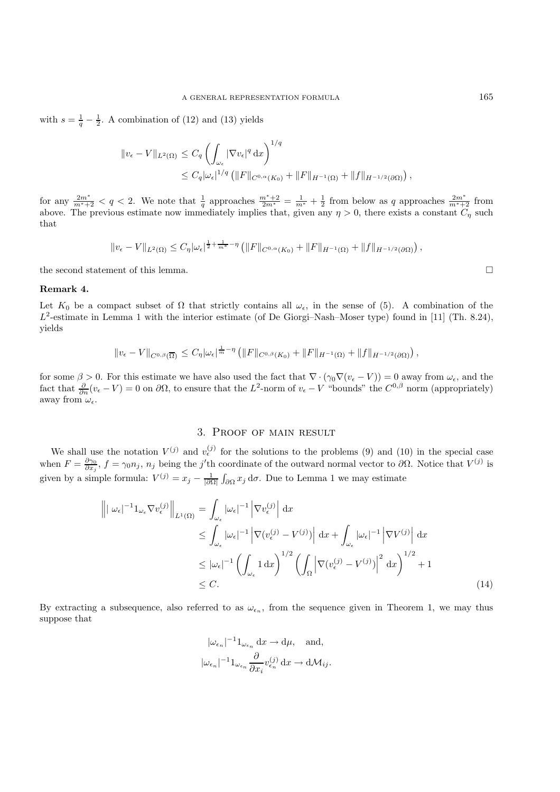with  $s = \frac{1}{q} - \frac{1}{2}$ . A combination of (12) and (13) yields

$$
\|v_{\epsilon} - V\|_{L^{2}(\Omega)} \leq C_{q} \left( \int_{\omega_{\epsilon}} |\nabla v_{\epsilon}|^{q} dx \right)^{1/q}
$$
  

$$
\leq C_{q} |\omega_{\epsilon}|^{1/q} \left( \|F\|_{C^{0,\alpha}(K_{0})} + \|F\|_{H^{-1}(\Omega)} + \|f\|_{H^{-1/2}(\partial\Omega)} \right),
$$

for any  $\frac{2m^*}{m^*+2} < q < 2$ . We note that  $\frac{1}{q}$  approaches  $\frac{m^*+2}{2m^*} = \frac{1}{m^*} + \frac{1}{2}$  from below as q approaches  $\frac{2m^*}{m^*+2}$  from above. The previous estimate now immediately implies that, given any  $\eta > 0$ , there exists a constant  $C_n$  such that

$$
||v_{\epsilon} - V||_{L^{2}(\Omega)} \leq C_{\eta} |\omega_{\epsilon}|^{\frac{1}{2} + \frac{1}{m^{*}} - \eta} \left( ||F||_{C^{0,\alpha}(K_{0})} + ||F||_{H^{-1}(\Omega)} + ||f||_{H^{-1/2}(\partial\Omega)} \right),
$$

the second statement of this lemma.  $\Box$ 

#### **Remark 4.**

Let  $K_0$  be a compact subset of  $\Omega$  that strictly contains all  $\omega_{\epsilon}$ , in the sense of (5). A combination of the  $L^2$ -estimate in Lemma 1 with the interior estimate (of De Giorgi–Nash–Moser type) found in [11] (Th. 8.24), yields

$$
||v_{\epsilon} - V||_{C^{0,\beta}(\overline{\Omega})} \leq C_{\eta} |\omega_{\epsilon}|^{\frac{1}{m}-\eta} \left( ||F||_{C^{0,\beta}(K_0)} + ||F||_{H^{-1}(\Omega)} + ||f||_{H^{-1/2}(\partial \Omega)} \right),
$$

for some  $\beta > 0$ . For this estimate we have also used the fact that  $\nabla \cdot (\gamma_0 \nabla (\nu_\epsilon - V)) = 0$  away from  $\omega_\epsilon$ , and the fact that  $\frac{\partial}{\partial n}(v_{\epsilon}-V)=0$  on  $\partial\Omega$ , to ensure that the  $L^2$ -norm of  $v_{\epsilon}-V$  "bounds" the  $C^{0,\beta}$  norm (appropriately) away from  $\omega_{\epsilon}$ .

# 3. Proof of main result

We shall use the notation  $V^{(j)}$  and  $v^{(j)}_{\epsilon}$  for the solutions to the problems (9) and (10) in the special case when  $F = \frac{\partial \gamma_0}{\partial x_j}$ ,  $f = \gamma_0 n_j$ ,  $n_j$  being the j'th coordinate of the outward normal vector to  $\partial \Omega$ . Notice that  $V^{(j)}$  is given by a simple formula:  $V^{(j)} = x_j - \frac{1}{|\partial \Omega|} \int_{\partial \Omega} x_j d\sigma$ . Due to Lemma 1 we may estimate

$$
\left\| |\omega_{\epsilon}|^{-1} \mathbb{1}_{\omega_{\epsilon}} \nabla v_{\epsilon}^{(j)} \right\|_{L^{1}(\Omega)} = \int_{\omega_{\epsilon}} |\omega_{\epsilon}|^{-1} \left| \nabla v_{\epsilon}^{(j)} \right| dx
$$
  
\n
$$
\leq \int_{\omega_{\epsilon}} |\omega_{\epsilon}|^{-1} \left| \nabla (v_{\epsilon}^{(j)} - V^{(j)}) \right| dx + \int_{\omega_{\epsilon}} |\omega_{\epsilon}|^{-1} \left| \nabla V^{(j)} \right| dx
$$
  
\n
$$
\leq |\omega_{\epsilon}|^{-1} \left( \int_{\omega_{\epsilon}} 1 dx \right)^{1/2} \left( \int_{\Omega} \left| \nabla (v_{\epsilon}^{(j)} - V^{(j)}) \right|^{2} dx \right)^{1/2} + 1
$$
  
\n
$$
\leq C.
$$
 (14)

By extracting a subsequence, also referred to as  $\omega_{\epsilon_n}$ , from the sequence given in Theorem 1, we may thus suppose that

$$
|\omega_{\epsilon_n}|^{-1}1_{\omega_{\epsilon_n}} \, \mathrm{d}x \to \mathrm{d}\mu, \quad \text{and},
$$
  

$$
|\omega_{\epsilon_n}|^{-1}1_{\omega_{\epsilon_n}} \frac{\partial}{\partial x_i} v_{\epsilon_n}^{(j)} \, \mathrm{d}x \to \mathrm{d}\mathcal{M}_{ij}.
$$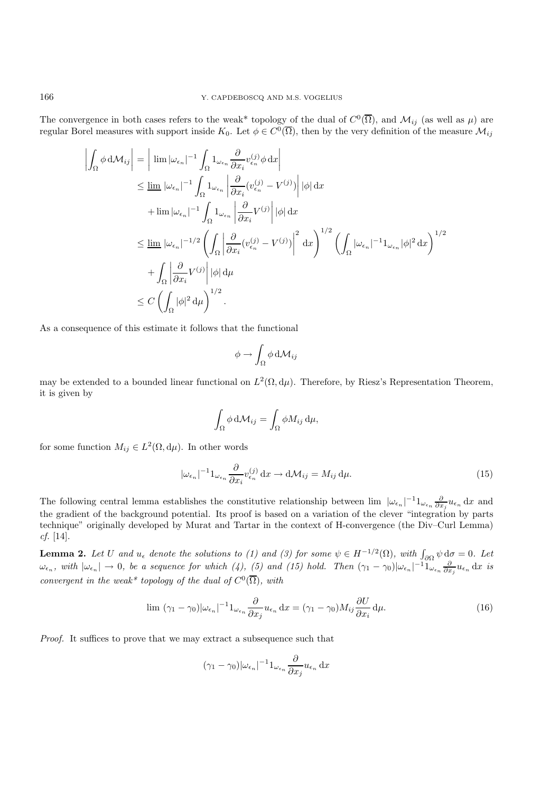The convergence in both cases refers to the weak\* topology of the dual of  $C^0(\overline{\Omega})$ , and  $\mathcal{M}_{ij}$  (as well as  $\mu$ ) are regular Borel measures with support inside  $K_0$ . Let  $\phi \in C^0(\overline{\Omega})$ , then by the very definition of the measure  $\mathcal{M}_{ij}$ 

$$
\left| \int_{\Omega} \phi \, d\mathcal{M}_{ij} \right| = \left| \lim |\omega_{\epsilon_n}|^{-1} \int_{\Omega} 1_{\omega_{\epsilon_n}} \frac{\partial}{\partial x_i} v_{\epsilon_n}^{(j)} \phi \, dx \right|
$$
  
\n
$$
\leq \lim_{\Delta \epsilon_n} |\omega_{\epsilon_n}|^{-1} \int_{\Omega} 1_{\omega_{\epsilon_n}} \left| \frac{\partial}{\partial x_i} (v_{\epsilon_n}^{(j)} - V^{(j)}) \right| |\phi| \, dx
$$
  
\n
$$
+ \lim |\omega_{\epsilon_n}|^{-1} \int_{\Omega} 1_{\omega_{\epsilon_n}} \left| \frac{\partial}{\partial x_i} V^{(j)} \right| |\phi| \, dx
$$
  
\n
$$
\leq \lim_{\Delta \epsilon_n} |\omega_{\epsilon_n}|^{-1/2} \left( \int_{\Omega} \left| \frac{\partial}{\partial x_i} (v_{\epsilon_n}^{(j)} - V^{(j)}) \right|^2 \, dx \right)^{1/2} \left( \int_{\Omega} |\omega_{\epsilon_n}|^{-1} 1_{\omega_{\epsilon_n}} |\phi|^2 \, dx \right)^{1/2}
$$
  
\n
$$
+ \int_{\Omega} \left| \frac{\partial}{\partial x_i} V^{(j)} \right| |\phi| \, d\mu
$$
  
\n
$$
\leq C \left( \int_{\Omega} |\phi|^2 \, d\mu \right)^{1/2}.
$$

As a consequence of this estimate it follows that the functional

$$
\phi \to \int_{\Omega} \phi \, \mathrm{d} \mathcal{M}_{ij}
$$

may be extended to a bounded linear functional on  $L^2(\Omega, d\mu)$ . Therefore, by Riesz's Representation Theorem, it is given by

$$
\int_{\Omega} \phi \, \mathrm{d} \mathcal{M}_{ij} = \int_{\Omega} \phi M_{ij} \, \mathrm{d} \mu,
$$

for some function  $M_{ij} \in L^2(\Omega, d\mu)$ . In other words

$$
|\omega_{\epsilon_n}|^{-1} 1_{\omega_{\epsilon_n}} \frac{\partial}{\partial x_i} v_{\epsilon_n}^{(j)} dx \to d\mathcal{M}_{ij} = M_{ij} d\mu.
$$
 (15)

The following central lemma establishes the constitutive relationship between  $\lim_{\alpha \to \infty} |\omega_{\epsilon_n}|^{-1} 1_{\omega_{\epsilon_n}} \frac{\partial}{\partial x_j} u_{\epsilon_n}$  dx and the gradient of the background potential. Its proof is based on a variation of the clever "integration by parts technique" originally developed by Murat and Tartar in the context of H-convergence (the Div–Curl Lemma) *cf.* [14].

**Lemma 2.** Let U and  $u_{\epsilon}$  denote the solutions to (1) and (3) for some  $\psi \in H^{-1/2}(\Omega)$ , with  $\int_{\partial \Omega} \psi \, d\sigma = 0$ . Let  $\omega_{\epsilon_n}$ , with  $|\omega_{\epsilon_n}| \to 0$ , be a sequence for which (4), (5) and (15) hold. Then  $(\gamma_1 - \gamma_0)|\omega_{\epsilon_n}|^{-1} \mathbb{1}_{\omega_{\epsilon_n}} \frac{\partial}{\partial x_j} u_{\epsilon_n} dx$  is *convergent in the weak\* topology of the dual of*  $C^0(\overline{\Omega})$ *, with* 

$$
\lim \ (\gamma_1 - \gamma_0)|\omega_{\epsilon_n}|^{-1}1_{\omega_{\epsilon_n}}\frac{\partial}{\partial x_j}u_{\epsilon_n}\,\mathrm{d}x = (\gamma_1 - \gamma_0)M_{ij}\frac{\partial U}{\partial x_i}\,\mathrm{d}\mu. \tag{16}
$$

*Proof.* It suffices to prove that we may extract a subsequence such that

$$
(\gamma_1-\gamma_0)|\omega_{\epsilon_n}|^{-1}1_{\omega_{\epsilon_n}}\frac{\partial}{\partial x_j}u_{\epsilon_n}\,\mathrm{d} x
$$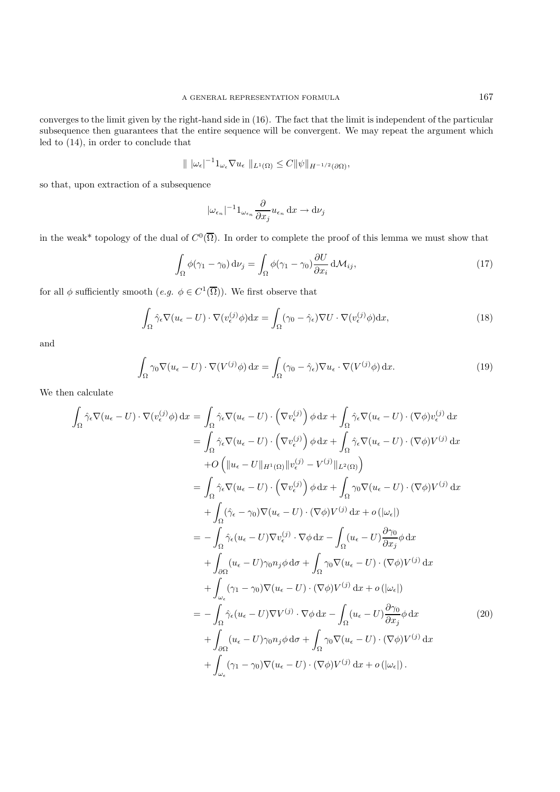converges to the limit given by the right-hand side in (16). The fact that the limit is independent of the particular subsequence then guarantees that the entire sequence will be convergent. We may repeat the argument which led to (14), in order to conclude that

$$
\| |\omega_{\epsilon}|^{-1} \mathbf{1}_{\omega_{\epsilon}} \nabla u_{\epsilon} ||_{L^{1}(\Omega)} \leq C \| \psi \|_{H^{-1/2}(\partial \Omega)},
$$

so that, upon extraction of a subsequence

$$
|\omega_{\epsilon_n}|^{-1}1_{\omega_{\epsilon_n}}\frac{\partial}{\partial x_j}u_{\epsilon_n}\,\mathrm{d} x\to\mathrm{d}\nu_j
$$

in the weak\* topology of the dual of  $C^0(\overline{\Omega})$ . In order to complete the proof of this lemma we must show that

$$
\int_{\Omega} \phi(\gamma_1 - \gamma_0) d\nu_j = \int_{\Omega} \phi(\gamma_1 - \gamma_0) \frac{\partial U}{\partial x_i} d\mathcal{M}_{ij},\tag{17}
$$

for all  $\phi$  sufficiently smooth  $(e.g. \phi \in C^1(\overline{\Omega}))$ . We first observe that

$$
\int_{\Omega} \hat{\gamma}_{\epsilon} \nabla (u_{\epsilon} - U) \cdot \nabla (v_{\epsilon}^{(j)} \phi) dx = \int_{\Omega} (\gamma_0 - \hat{\gamma}_{\epsilon}) \nabla U \cdot \nabla (v_{\epsilon}^{(j)} \phi) dx, \tag{18}
$$

and

$$
\int_{\Omega} \gamma_0 \nabla (u_{\epsilon} - U) \cdot \nabla (V^{(j)} \phi) dx = \int_{\Omega} (\gamma_0 - \hat{\gamma}_{\epsilon}) \nabla u_{\epsilon} \cdot \nabla (V^{(j)} \phi) dx.
$$
\n(19)

We then calculate

$$
\int_{\Omega} \hat{\gamma}_{\epsilon} \nabla (u_{\epsilon} - U) \cdot \nabla (v_{\epsilon}^{(j)} \phi) dx = \int_{\Omega} \hat{\gamma}_{\epsilon} \nabla (u_{\epsilon} - U) \cdot (\nabla v_{\epsilon}^{(j)}) \phi dx + \int_{\Omega} \hat{\gamma}_{\epsilon} \nabla (u_{\epsilon} - U) \cdot (\nabla \phi) v_{\epsilon}^{(j)} dx \n= \int_{\Omega} \hat{\gamma}_{\epsilon} \nabla (u_{\epsilon} - U) \cdot (\nabla v_{\epsilon}^{(j)}) \phi dx + \int_{\Omega} \hat{\gamma}_{\epsilon} \nabla (u_{\epsilon} - U) \cdot (\nabla \phi) V^{(j)} dx \n+ O \left( ||u_{\epsilon} - U||_{H^{1}(\Omega)} ||v_{\epsilon}^{(j)} - V^{(j)}||_{L^{2}(\Omega)} \right) \n= \int_{\Omega} \hat{\gamma}_{\epsilon} \nabla (u_{\epsilon} - U) \cdot (\nabla v_{\epsilon}^{(j)}) \phi dx + \int_{\Omega} \gamma_{0} \nabla (u_{\epsilon} - U) \cdot (\nabla \phi) V^{(j)} dx \n+ \int_{\Omega} (\hat{\gamma}_{\epsilon} - \gamma_{0}) \nabla (u_{\epsilon} - U) \cdot (\nabla \phi) V^{(j)} dx + o \left( |\omega_{\epsilon}| \right) \n= - \int_{\Omega} \hat{\gamma}_{\epsilon} (u_{\epsilon} - U) \nabla v_{\epsilon}^{(j)} \cdot \nabla \phi dx - \int_{\Omega} (u_{\epsilon} - U) \frac{\partial \gamma_{0}}{\partial x_{j}} \phi dx \n+ \int_{\partial \Omega} (u_{\epsilon} - U) \gamma_{0} n_{j} \phi dx + \int_{\Omega} \gamma_{0} \nabla (u_{\epsilon} - U) \cdot (\nabla \phi) V^{(j)} dx \n+ \int_{\omega_{\epsilon}} (\gamma_{1} - \gamma_{0}) \nabla (u_{\epsilon} - U) \cdot (\nabla \phi) V^{(j)} dx + o \left( |\omega_{\epsilon}| \right) \n= - \int_{\Omega} \hat{\gamma}_{\epsilon} (u_{\epsilon} - U) \nabla V^{(j)} \cdot \nabla \phi dx - \int_{\Omega} (u_{\epsilon} - U) \frac{\partial \gamma_{0}}{\partial x_{j}} \phi dx \n+ \int_{\
$$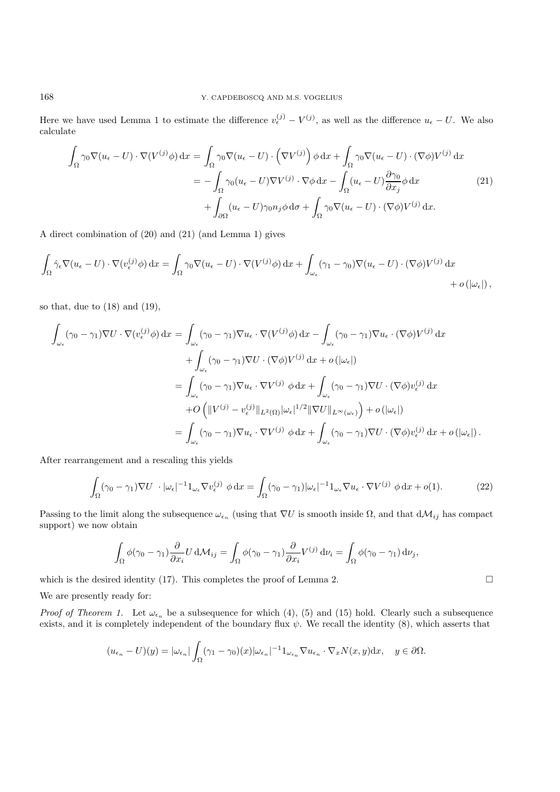Here we have used Lemma 1 to estimate the difference  $v_{\epsilon}^{(j)} - V^{(j)}$ , as well as the difference  $u_{\epsilon} - U$ . We also calculate

$$
\int_{\Omega} \gamma_0 \nabla (u_{\epsilon} - U) \cdot \nabla (V^{(j)} \phi) dx = \int_{\Omega} \gamma_0 \nabla (u_{\epsilon} - U) \cdot (\nabla V^{(j)}) \phi dx + \int_{\Omega} \gamma_0 \nabla (u_{\epsilon} - U) \cdot (\nabla \phi) V^{(j)} dx
$$

$$
= -\int_{\Omega} \gamma_0 (u_{\epsilon} - U) \nabla V^{(j)} \cdot \nabla \phi dx - \int_{\Omega} (u_{\epsilon} - U) \frac{\partial \gamma_0}{\partial x_j} \phi dx
$$

$$
+ \int_{\partial \Omega} (u_{\epsilon} - U) \gamma_0 n_j \phi d\sigma + \int_{\Omega} \gamma_0 \nabla (u_{\epsilon} - U) \cdot (\nabla \phi) V^{(j)} dx.
$$
(21)

A direct combination of (20) and (21) (and Lemma 1) gives

$$
\int_{\Omega} \hat{\gamma}_{\epsilon} \nabla (u_{\epsilon} - U) \cdot \nabla (v_{\epsilon}^{(j)} \phi) dx = \int_{\Omega} \gamma_0 \nabla (u_{\epsilon} - U) \cdot \nabla (V^{(j)} \phi) dx + \int_{\omega_{\epsilon}} (\gamma_1 - \gamma_0) \nabla (u_{\epsilon} - U) \cdot (\nabla \phi) V^{(j)} dx + o(|\omega_{\epsilon}|),
$$

so that, due to (18) and (19),

$$
\int_{\omega_{\epsilon}} (\gamma_0 - \gamma_1) \nabla U \cdot \nabla (v_{\epsilon}^{(j)} \phi) dx = \int_{\omega_{\epsilon}} (\gamma_0 - \gamma_1) \nabla u_{\epsilon} \cdot \nabla (V^{(j)} \phi) dx - \int_{\omega_{\epsilon}} (\gamma_0 - \gamma_1) \nabla u_{\epsilon} \cdot (\nabla \phi) V^{(j)} dx \n+ \int_{\omega_{\epsilon}} (\gamma_0 - \gamma_1) \nabla U \cdot (\nabla \phi) V^{(j)} dx + o(|\omega_{\epsilon}|) \n= \int_{\omega_{\epsilon}} (\gamma_0 - \gamma_1) \nabla u_{\epsilon} \cdot \nabla V^{(j)} \phi dx + \int_{\omega_{\epsilon}} (\gamma_0 - \gamma_1) \nabla U \cdot (\nabla \phi) v_{\epsilon}^{(j)} dx \n+ O\left( \|V^{(j)} - v_{\epsilon}^{(j)}\|_{L^2(\Omega)} |\omega_{\epsilon}|^{1/2} \|\nabla U\|_{L^{\infty}(\omega_{\epsilon})} \right) + o(|\omega_{\epsilon}|) \n= \int_{\omega_{\epsilon}} (\gamma_0 - \gamma_1) \nabla u_{\epsilon} \cdot \nabla V^{(j)} \phi dx + \int_{\omega_{\epsilon}} (\gamma_0 - \gamma_1) \nabla U \cdot (\nabla \phi) v_{\epsilon}^{(j)} dx + o(|\omega_{\epsilon}|).
$$

After rearrangement and a rescaling this yields

$$
\int_{\Omega} (\gamma_0 - \gamma_1) \nabla U \cdot |\omega_{\epsilon}|^{-1} \mathbf{1}_{\omega_{\epsilon}} \nabla v_{\epsilon}^{(j)} \phi \, dx = \int_{\Omega} (\gamma_0 - \gamma_1) |\omega_{\epsilon}|^{-1} \mathbf{1}_{\omega_{\epsilon}} \nabla u_{\epsilon} \cdot \nabla V^{(j)} \phi \, dx + o(1).
$$
 (22)

Passing to the limit along the subsequence  $\omega_{\epsilon_n}$  (using that  $\nabla U$  is smooth inside  $\Omega$ , and that  $d\mathcal{M}_{ij}$  has compact support) we now obtain

$$
\int_{\Omega} \phi(\gamma_0 - \gamma_1) \frac{\partial}{\partial x_i} U \, d\mathcal{M}_{ij} = \int_{\Omega} \phi(\gamma_0 - \gamma_1) \frac{\partial}{\partial x_i} V^{(j)} \, d\nu_i = \int_{\Omega} \phi(\gamma_0 - \gamma_1) \, d\nu_j,
$$

which is the desired identity (17). This completes the proof of Lemma 2.  $\square$ 

We are presently ready for:

*Proof of Theorem 1.* Let  $\omega_{\epsilon_n}$  be a subsequence for which (4), (5) and (15) hold. Clearly such a subsequence exists, and it is completely independent of the boundary flux  $\psi$ . We recall the identity (8), which asserts that

$$
(u_{\epsilon_n} - U)(y) = |\omega_{\epsilon_n}| \int_{\Omega} (\gamma_1 - \gamma_0)(x) |\omega_{\epsilon_n}|^{-1} \mathbf{1}_{\omega_{\epsilon_n}} \nabla u_{\epsilon_n} \cdot \nabla_x N(x, y) \, dx, \quad y \in \partial \Omega.
$$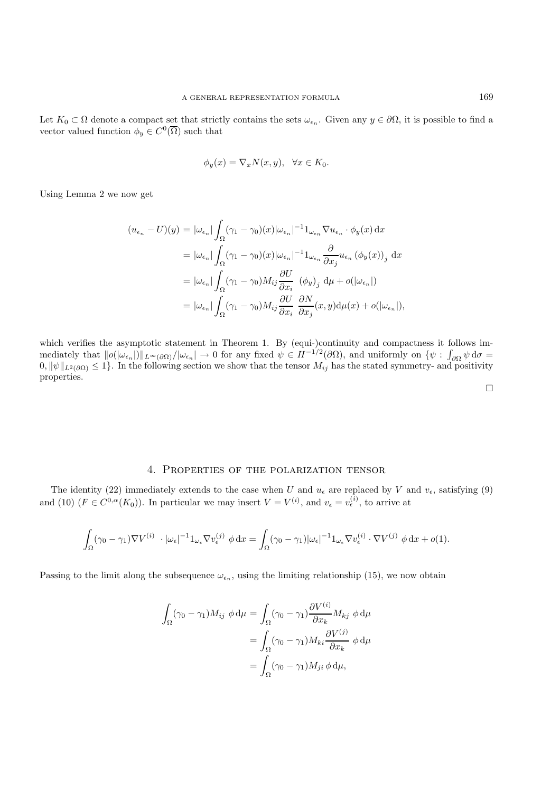Let  $K_0 \subset \Omega$  denote a compact set that strictly contains the sets  $\omega_{\epsilon_n}$ . Given any  $y \in \partial\Omega$ , it is possible to find a vector valued function  $\phi_y \in C^0(\overline{\Omega})$  such that

$$
\phi_y(x) = \nabla_x N(x, y), \quad \forall x \in K_0.
$$

Using Lemma 2 we now get

$$
(u_{\epsilon_n} - U)(y) = |\omega_{\epsilon_n}| \int_{\Omega} (\gamma_1 - \gamma_0)(x) |\omega_{\epsilon_n}|^{-1} \mathbf{1}_{\omega_{\epsilon_n}} \nabla u_{\epsilon_n} \cdot \phi_y(x) dx
$$
  
\n
$$
= |\omega_{\epsilon_n}| \int_{\Omega} (\gamma_1 - \gamma_0)(x) |\omega_{\epsilon_n}|^{-1} \mathbf{1}_{\omega_{\epsilon_n}} \frac{\partial}{\partial x_j} u_{\epsilon_n} (\phi_y(x))_j dx
$$
  
\n
$$
= |\omega_{\epsilon_n}| \int_{\Omega} (\gamma_1 - \gamma_0) M_{ij} \frac{\partial U}{\partial x_i} (\phi_y)_j d\mu + o(|\omega_{\epsilon_n}|)
$$
  
\n
$$
= |\omega_{\epsilon_n}| \int_{\Omega} (\gamma_1 - \gamma_0) M_{ij} \frac{\partial U}{\partial x_i} \frac{\partial N}{\partial x_j}(x, y) d\mu(x) + o(|\omega_{\epsilon_n}|),
$$

which verifies the asymptotic statement in Theorem 1. By (equi-)continuity and compactness it follows im- $\text{median}(\mathcal{U}(\omega_{\epsilon_n})\|\mathcal{U}_{\epsilon_n})\|_{L^{\infty}(\partial\Omega)}/\|\omega_{\epsilon_n}\| \to 0 \text{ for any fixed } \psi \in H^{-1/2}(\partial\Omega), \text{ and uniformly on } \{\psi : \int_{\partial\Omega}\psi\,d\sigma = 0\}$  $0, ||\psi||_{L^2(\partial\Omega)} \leq 1$ . In the following section we show that the tensor  $M_{ij}$  has the stated symmetry- and positivity properties.

# 4. Properties of the polarization tensor

The identity (22) immediately extends to the case when U and  $u_{\epsilon}$  are replaced by V and  $v_{\epsilon}$ , satisfying (9) and (10)  $(F \in C^{0,\alpha}(K_0))$ . In particular we may insert  $V = V^{(i)}$ , and  $v_{\epsilon} = v_{\epsilon}^{(i)}$ , to arrive at

$$
\int_{\Omega} (\gamma_0 - \gamma_1) \nabla V^{(i)} \cdot |\omega_{\epsilon}|^{-1} \mathbb{1}_{\omega_{\epsilon}} \nabla v_{\epsilon}^{(j)} \phi \, dx = \int_{\Omega} (\gamma_0 - \gamma_1) |\omega_{\epsilon}|^{-1} \mathbb{1}_{\omega_{\epsilon}} \nabla v_{\epsilon}^{(i)} \cdot \nabla V^{(j)} \phi \, dx + o(1).
$$

Passing to the limit along the subsequence  $\omega_{\epsilon_n}$ , using the limiting relationship (15), we now obtain

$$
\int_{\Omega} (\gamma_0 - \gamma_1) M_{ij} \phi \, d\mu = \int_{\Omega} (\gamma_0 - \gamma_1) \frac{\partial V^{(i)}}{\partial x_k} M_{kj} \phi \, d\mu
$$

$$
= \int_{\Omega} (\gamma_0 - \gamma_1) M_{ki} \frac{\partial V^{(j)}}{\partial x_k} \phi \, d\mu
$$

$$
= \int_{\Omega} (\gamma_0 - \gamma_1) M_{ji} \phi \, d\mu,
$$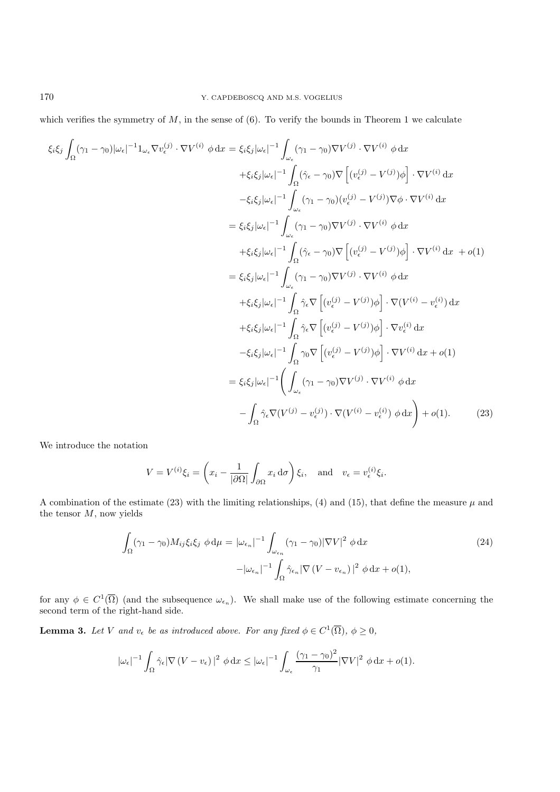which verifies the symmetry of  $M$ , in the sense of  $(6)$ . To verify the bounds in Theorem 1 we calculate

$$
\xi_i \xi_j \int_{\Omega} (\gamma_1 - \gamma_0) |\omega_{\epsilon}|^{-1} \mathbf{1}_{\omega_{\epsilon}} \nabla v_{\epsilon}^{(j)} \cdot \nabla V^{(i)} \phi \, dx = \xi_i \xi_j |\omega_{\epsilon}|^{-1} \int_{\omega_{\epsilon}} (\gamma_1 - \gamma_0) \nabla V^{(j)} \cdot \nabla V^{(i)} \phi \, dx
$$
  
\n
$$
+ \xi_i \xi_j |\omega_{\epsilon}|^{-1} \int_{\Omega} (\hat{\gamma}_{\epsilon} - \gamma_0) \nabla \left[ (v_{\epsilon}^{(j)} - V^{(j)}) \phi \right] \cdot \nabla V^{(i)} \, dx
$$
  
\n
$$
- \xi_i \xi_j |\omega_{\epsilon}|^{-1} \int_{\omega_{\epsilon}} (\gamma_1 - \gamma_0) (v_{\epsilon}^{(j)} - V^{(j)}) \nabla \phi \cdot \nabla V^{(i)} \, dx
$$
  
\n
$$
+ \xi_i \xi_j |\omega_{\epsilon}|^{-1} \int_{\Omega} (\hat{\gamma}_{\epsilon} - \gamma_0) \nabla \left[ (v_{\epsilon}^{(j)} - V^{(j)}) \phi \right] \cdot \nabla V^{(i)} \, dx + o(1)
$$
  
\n
$$
= \xi_i \xi_j |\omega_{\epsilon}|^{-1} \int_{\omega_{\epsilon}} (\gamma_1 - \gamma_0) \nabla V^{(j)} \cdot \nabla V^{(i)} \phi \, dx
$$
  
\n
$$
+ \xi_i \xi_j |\omega_{\epsilon}|^{-1} \int_{\Omega} \hat{\gamma}_{\epsilon} \nabla \left[ (v_{\epsilon}^{(j)} - V^{(j)}) \phi \right] \cdot \nabla (V^{(i)} - v_{\epsilon}^{(i)}) \, dx
$$
  
\n
$$
+ \xi_i \xi_j |\omega_{\epsilon}|^{-1} \int_{\Omega} \hat{\gamma}_{\epsilon} \nabla \left[ (v_{\epsilon}^{(j)} - V^{(j)}) \phi \right] \cdot \nabla v_{\epsilon}^{(i)} \, dx
$$
  
\n
$$
- \xi_i \xi_j |\omega_{\epsilon}|^{-1} \int_{\Omega} \gamma_0 \nabla \left[ (v_{\epsilon}^{(j)} - V^{(j)}) \phi \right] \cdot \nabla V^{(i)} \, dx + o(1)
$$
  
\n
$$
= \xi_i \xi_j |\omega_{
$$

We introduce the notation

$$
V = V^{(i)}\xi_i = \left(x_i - \frac{1}{|\partial\Omega|} \int_{\partial\Omega} x_i \, d\sigma\right) \xi_i, \text{ and } v_{\epsilon} = v_{\epsilon}^{(i)} \xi_i.
$$

A combination of the estimate (23) with the limiting relationships, (4) and (15), that define the measure  $\mu$  and the tensor  $M$ , now yields

$$
\int_{\Omega} (\gamma_1 - \gamma_0) M_{ij} \xi_i \xi_j \phi d\mu = |\omega_{\epsilon_n}|^{-1} \int_{\omega_{\epsilon_n}} (\gamma_1 - \gamma_0) |\nabla V|^2 \phi dx
$$
\n
$$
- |\omega_{\epsilon_n}|^{-1} \int_{\Omega} \hat{\gamma}_{\epsilon_n} |\nabla (V - v_{\epsilon_n})|^2 \phi dx + o(1),
$$
\n(24)

for any  $\phi \in C^1(\overline{\Omega})$  (and the subsequence  $\omega_{\epsilon_n}$ ). We shall make use of the following estimate concerning the second term of the right-hand side.

**Lemma 3.** Let V and  $v_{\epsilon}$  be as introduced above. For any fixed  $\phi \in C^1(\overline{\Omega})$ ,  $\phi \geq 0$ ,

$$
|\omega_{\epsilon}|^{-1} \int_{\Omega} \hat{\gamma}_{\epsilon} |\nabla (V - v_{\epsilon})|^2 \, \phi \, dx \leq |\omega_{\epsilon}|^{-1} \int_{\omega_{\epsilon}} \frac{(\gamma_1 - \gamma_0)^2}{\gamma_1} |\nabla V|^2 \, \phi \, dx + o(1).
$$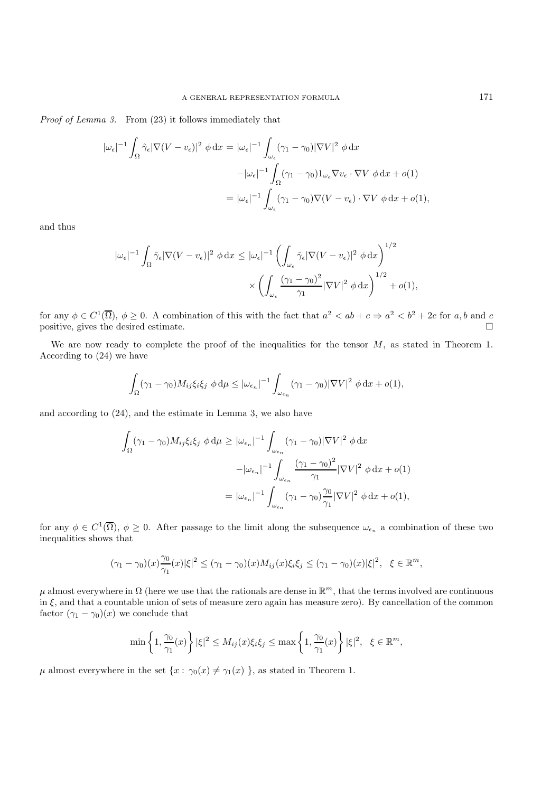*Proof of Lemma 3.* From (23) it follows immediately that

$$
|\omega_{\epsilon}|^{-1} \int_{\Omega} \hat{\gamma}_{\epsilon} |\nabla (V - v_{\epsilon})|^{2} \phi \,dx = |\omega_{\epsilon}|^{-1} \int_{\omega_{\epsilon}} (\gamma_{1} - \gamma_{0}) |\nabla V|^{2} \phi \,dx
$$

$$
-|\omega_{\epsilon}|^{-1} \int_{\Omega} (\gamma_{1} - \gamma_{0}) \mathbf{1}_{\omega_{\epsilon}} \nabla v_{\epsilon} \cdot \nabla V \phi \,dx + o(1)
$$

$$
= |\omega_{\epsilon}|^{-1} \int_{\omega_{\epsilon}} (\gamma_{1} - \gamma_{0}) \nabla (V - v_{\epsilon}) \cdot \nabla V \phi \,dx + o(1),
$$

and thus

$$
\begin{aligned} |\omega_\epsilon|^{-1}\int_\Omega \hat{\gamma}_\epsilon |\nabla (V-v_\epsilon)|^2\ \phi \,\mathrm{d}x &\leq |\omega_\epsilon|^{-1}\left(\int_{\omega_\epsilon} \hat{\gamma}_\epsilon |\nabla (V-v_\epsilon)|^2\ \phi \,\mathrm{d}x\right)^{1/2} \\&\quad\times \left(\int_{\omega_\epsilon} \frac{(\gamma_1-\gamma_0)^2}{\gamma_1} |\nabla V|^2\ \phi \,\mathrm{d}x\right)^{1/2}+o(1), \end{aligned}
$$

for any  $\phi \in C^1(\overline{\Omega})$ ,  $\phi \ge 0$ . A combination of this with the fact that  $a^2 < ab + c \Rightarrow a^2 < b^2 + 2c$  for a, b and c positive, gives the desired estimate.  $\Box$ 

We are now ready to complete the proof of the inequalities for the tensor  $M$ , as stated in Theorem 1. According to (24) we have

$$
\int_{\Omega} (\gamma_1 - \gamma_0) M_{ij} \xi_i \xi_j \, \phi \, \mathrm{d}\mu \leq |\omega_{\epsilon_n}|^{-1} \int_{\omega_{\epsilon_n}} (\gamma_1 - \gamma_0) |\nabla V|^2 \, \phi \, \mathrm{d}x + o(1),
$$

and according to (24), and the estimate in Lemma 3, we also have

$$
\int_{\Omega} (\gamma_1 - \gamma_0) M_{ij} \xi_i \xi_j \phi d\mu \geq |\omega_{\epsilon_n}|^{-1} \int_{\omega_{\epsilon_n}} (\gamma_1 - \gamma_0) |\nabla V|^2 \phi dx
$$

$$
- |\omega_{\epsilon_n}|^{-1} \int_{\omega_{\epsilon_n}} \frac{(\gamma_1 - \gamma_0)^2}{\gamma_1} |\nabla V|^2 \phi dx + o(1)
$$

$$
= |\omega_{\epsilon_n}|^{-1} \int_{\omega_{\epsilon_n}} (\gamma_1 - \gamma_0) \frac{\gamma_0}{\gamma_1} |\nabla V|^2 \phi dx + o(1),
$$

for any  $\phi \in C^1(\overline{\Omega})$ ,  $\phi \geq 0$ . After passage to the limit along the subsequence  $\omega_{\epsilon_n}$  a combination of these two inequalities shows that

$$
(\gamma_1 - \gamma_0)(x)\frac{\gamma_0}{\gamma_1}(x)|\xi|^2 \leq (\gamma_1 - \gamma_0)(x)M_{ij}(x)\xi_i\xi_j \leq (\gamma_1 - \gamma_0)(x)|\xi|^2, \ \xi \in \mathbb{R}^m,
$$

 $\mu$  almost everywhere in  $\Omega$  (here we use that the rationals are dense in  $\mathbb{R}^m$ , that the terms involved are continuous in ξ, and that a countable union of sets of measure zero again has measure zero). By cancellation of the common factor  $(\gamma_1 - \gamma_0)(x)$  we conclude that

$$
\min\left\{1,\frac{\gamma_0}{\gamma_1}(x)\right\}|\xi|^2\leq M_{ij}(x)\xi_i\xi_j\leq \max\left\{1,\frac{\gamma_0}{\gamma_1}(x)\right\}|\xi|^2,\ \ \xi\in\mathbb{R}^m,
$$

 $\mu$  almost everywhere in the set  $\{x : \gamma_0(x) \neq \gamma_1(x) \}$ , as stated in Theorem 1.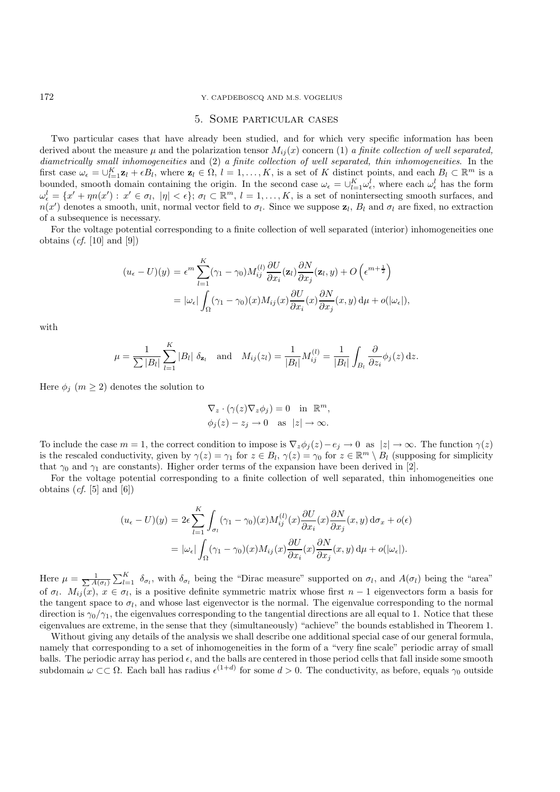#### 172 Y. CAPDEBOSCQ AND M.S. VOGELIUS

## 5. Some particular cases

Two particular cases that have already been studied, and for which very specific information has been derived about the measure  $\mu$  and the polarization tensor  $M_{ij}(x)$  concern (1) *a finite collection of well separated, diametrically small inhomogeneities* and (2) *a finite collection of well separated, thin inhomogeneities*. In the first case  $\omega_{\epsilon} = \bigcup_{l=1}^{K} \mathbf{z}_l + \epsilon B_l$ , where  $\mathbf{z}_l \in \Omega$ ,  $l = 1, \ldots, K$ , is a set of K distinct points, and each  $B_l \subset \mathbb{R}^m$  is a bounded, smooth domain containing the origin. In the second case  $\omega_{\epsilon} = \bigcup_{l=1}^{K} \omega_{\epsilon}^{l}$ , where each  $\omega_{\epsilon}^{l}$  has the form  $\omega_{\epsilon}^{l} = \{x' + \eta n(x') : x' \in \sigma_l, |\eta| < \epsilon\}; \sigma_l \subset \mathbb{R}^m, l = 1,\ldots,K$ , is a set of nonintersecting smooth surfaces, and  $n(x')$  denotes a smooth, unit, normal vector field to  $\sigma_l$ . Since we suppose  $z_l$ ,  $B_l$  and  $\sigma_l$  are fixed, no extraction of a subsequence is necessary.

For the voltage potential corresponding to a finite collection of well separated (interior) inhomogeneities one obtains (*cf.* [10] and [9])

$$
(u_{\epsilon} - U)(y) = \epsilon^{m} \sum_{l=1}^{K} (\gamma_{1} - \gamma_{0}) M_{ij}^{(l)} \frac{\partial U}{\partial x_{i}}(\mathbf{z}_{l}) \frac{\partial N}{\partial x_{j}}(\mathbf{z}_{l}, y) + O\left(\epsilon^{m + \frac{1}{2}}\right)
$$
  
=  $|\omega_{\epsilon}| \int_{\Omega} (\gamma_{1} - \gamma_{0})(x) M_{ij}(x) \frac{\partial U}{\partial x_{i}}(x) \frac{\partial N}{\partial x_{j}}(x, y) d\mu + o(|\omega_{\epsilon}|),$ 

with

$$
\mu = \frac{1}{\sum |B_l|} \sum_{l=1}^K |B_l| \, \delta_{\mathbf{z}_l} \quad \text{and} \quad M_{ij}(z_l) = \frac{1}{|B_l|} M_{ij}^{(l)} = \frac{1}{|B_l|} \int_{B_l} \frac{\partial}{\partial z_i} \phi_j(z) \, dz.
$$

Here  $\phi_j$   $(m \geq 2)$  denotes the solution to

$$
\nabla_z \cdot (\gamma(z)\nabla_z \phi_j) = 0 \quad \text{in } \mathbb{R}^m,
$$
  

$$
\phi_j(z) - z_j \to 0 \quad \text{as } |z| \to \infty.
$$

To include the case  $m = 1$ , the correct condition to impose is  $\nabla_z \phi_j(z) - e_j \to 0$  as  $|z| \to \infty$ . The function  $\gamma(z)$ is the rescaled conductivity, given by  $\gamma(z) = \gamma_1$  for  $z \in B_l$ ,  $\gamma(z) = \gamma_0$  for  $z \in \mathbb{R}^m \setminus B_l$  (supposing for simplicity that  $\gamma_0$  and  $\gamma_1$  are constants). Higher order terms of the expansion have been derived in [2].

For the voltage potential corresponding to a finite collection of well separated, thin inhomogeneities one obtains  $(cf. [5]$  and  $[6]$ 

$$
(u_{\epsilon} - U)(y) = 2\epsilon \sum_{l=1}^{K} \int_{\sigma_{l}} (\gamma_{1} - \gamma_{0})(x) M_{ij}^{(l)}(x) \frac{\partial U}{\partial x_{i}}(x) \frac{\partial N}{\partial x_{j}}(x, y) d\sigma_{x} + o(\epsilon)
$$
  
=  $|\omega_{\epsilon}| \int_{\Omega} (\gamma_{1} - \gamma_{0})(x) M_{ij}(x) \frac{\partial U}{\partial x_{i}}(x) \frac{\partial N}{\partial x_{j}}(x, y) d\mu + o(|\omega_{\epsilon}|).$ 

Here  $\mu = \frac{1}{\sum A(\sigma_l)} \sum_{l=1}^K \delta_{\sigma_l}$ , with  $\delta_{\sigma_l}$  being the "Dirac measure" supported on  $\sigma_l$ , and  $A(\sigma_l)$  being the "area" of  $\sigma_l$ .  $M_{ij}(x)$ ,  $x \in \sigma_l$ , is a positive definite symmetric matrix whose first  $n-1$  eigenvectors form a basis for the tangent space to  $\sigma_l$ , and whose last eigenvector is the normal. The eigenvalue corresponding to the normal direction is  $\gamma_0/\gamma_1$ , the eigenvalues corresponding to the tangential directions are all equal to 1. Notice that these eigenvalues are extreme, in the sense that they (simultaneously) "achieve" the bounds established in Theorem 1.

Without giving any details of the analysis we shall describe one additional special case of our general formula, namely that corresponding to a set of inhomogeneities in the form of a "very fine scale" periodic array of small balls. The periodic array has period  $\epsilon$ , and the balls are centered in those period cells that fall inside some smooth subdomain  $\omega \subset\subset \Omega$ . Each ball has radius  $\epsilon^{(1+d)}$  for some  $d > 0$ . The conductivity, as before, equals  $\gamma_0$  outside